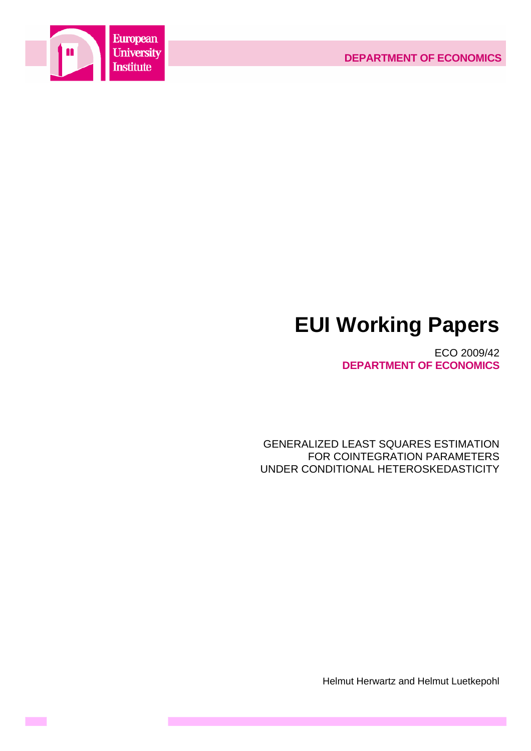



**Contract** 

# **EUI Working Papers**

ECO 2009/42 **DEPARTMENT OF ECONOMICS**

GENERALIZED LEAST SQUARES ESTIMATION FOR COINTEGRATION PARAMETERS UNDER CONDITIONAL HETEROSKEDASTICITY

Helmut Herwartz and Helmut Luetkepohl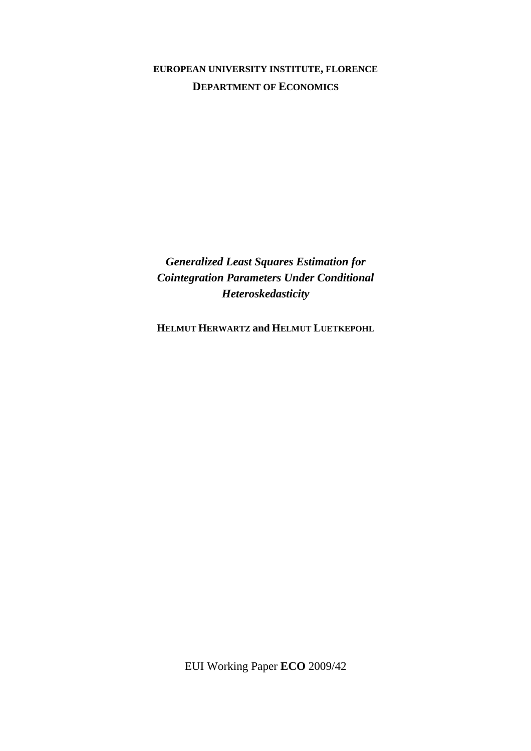# **EUROPEAN UNIVERSITY INSTITUTE, FLORENCE DEPARTMENT OF ECONOMICS**

*Generalized Least Squares Estimation for Cointegration Parameters Under Conditional Heteroskedasticity* 

**HELMUT HERWARTZ and HELMUT LUETKEPOHL**

EUI Working Paper **ECO** 2009/42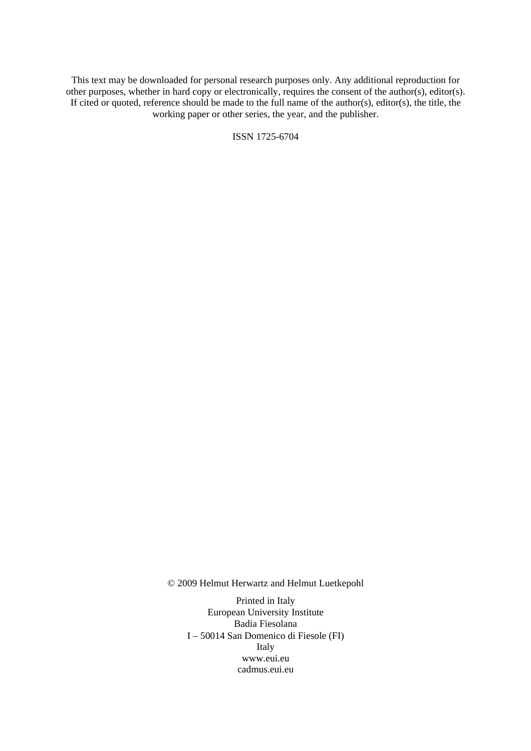This text may be downloaded for personal research purposes only. Any additional reproduction for other purposes, whether in hard copy or electronically, requires the consent of the author(s), editor(s). If cited or quoted, reference should be made to the full name of the author(s), editor(s), the title, the working paper or other series, the year, and the publisher.

ISSN 1725-6704

© 2009 Helmut Herwartz and Helmut Luetkepohl

Printed in Italy European University Institute Badia Fiesolana I – 50014 San Domenico di Fiesole (FI) Italy [www.eui.eu](http://www.eui.eu/)  [cadmus.eui.eu](http://www.eui.eu/)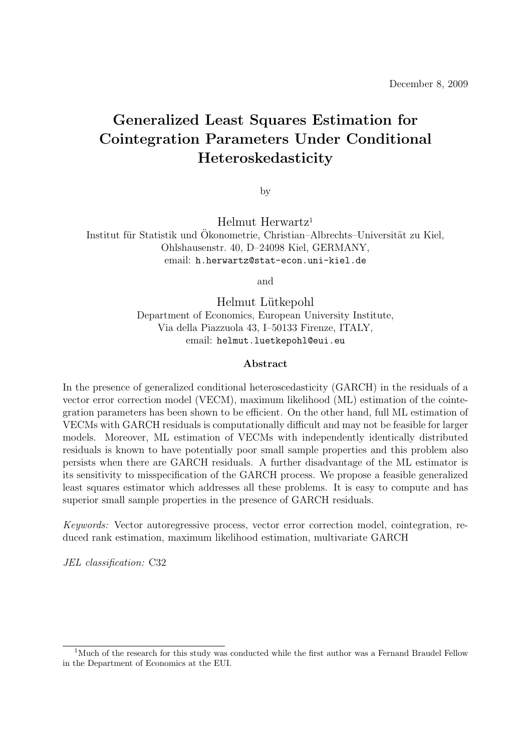# **Generalized Least Squares Estimation for Cointegration Parameters Under Conditional Heteroskedasticity**

by

Helmut Herwartz<sup>1</sup>

Institut für Statistik und Ökonometrie, Christian–Albrechts–Universität zu Kiel, Ohlshausenstr. 40, D–24098 Kiel, GERMANY, email: h.herwartz@stat-econ.uni-kiel.de

and

Helmut Lütkepohl Department of Economics, European University Institute, Via della Piazzuola 43, I–50133 Firenze, ITALY, email: helmut.luetkepohl@eui.eu

#### **Abstract**

In the presence of generalized conditional heteroscedasticity (GARCH) in the residuals of a vector error correction model (VECM), maximum likelihood (ML) estimation of the cointegration parameters has been shown to be efficient. On the other hand, full ML estimation of VECMs with GARCH residuals is computationally difficult and may not be feasible for larger models. Moreover, ML estimation of VECMs with independently identically distributed residuals is known to have potentially poor small sample properties and this problem also persists when there are GARCH residuals. A further disadvantage of the ML estimator is its sensitivity to misspecification of the GARCH process. We propose a feasible generalized least squares estimator which addresses all these problems. It is easy to compute and has superior small sample properties in the presence of GARCH residuals.

Keywords: Vector autoregressive process, vector error correction model, cointegration, reduced rank estimation, maximum likelihood estimation, multivariate GARCH

JEL classification: C32

<sup>&</sup>lt;sup>1</sup>Much of the research for this study was conducted while the first author was a Fernand Braudel Fellow in the Department of Economics at the EUI.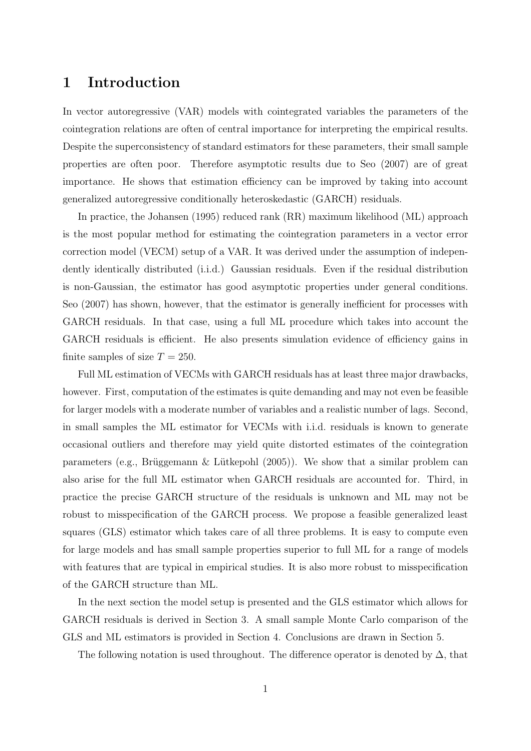## **1 Introduction**

In vector autoregressive (VAR) models with cointegrated variables the parameters of the cointegration relations are often of central importance for interpreting the empirical results. Despite the superconsistency of standard estimators for these parameters, their small sample properties are often poor. Therefore asymptotic results due to Seo (2007) are of great importance. He shows that estimation efficiency can be improved by taking into account generalized autoregressive conditionally heteroskedastic (GARCH) residuals.

In practice, the Johansen (1995) reduced rank (RR) maximum likelihood (ML) approach is the most popular method for estimating the cointegration parameters in a vector error correction model (VECM) setup of a VAR. It was derived under the assumption of independently identically distributed (i.i.d.) Gaussian residuals. Even if the residual distribution is non-Gaussian, the estimator has good asymptotic properties under general conditions. Seo (2007) has shown, however, that the estimator is generally inefficient for processes with GARCH residuals. In that case, using a full ML procedure which takes into account the GARCH residuals is efficient. He also presents simulation evidence of efficiency gains in finite samples of size  $T = 250$ .

Full ML estimation of VECMs with GARCH residuals has at least three major drawbacks, however. First, computation of the estimates is quite demanding and may not even be feasible for larger models with a moderate number of variables and a realistic number of lags. Second, in small samples the ML estimator for VECMs with i.i.d. residuals is known to generate occasional outliers and therefore may yield quite distorted estimates of the cointegration parameters (e.g., Brüggemann & Lütkepohl  $(2005)$ ). We show that a similar problem can also arise for the full ML estimator when GARCH residuals are accounted for. Third, in practice the precise GARCH structure of the residuals is unknown and ML may not be robust to misspecification of the GARCH process. We propose a feasible generalized least squares (GLS) estimator which takes care of all three problems. It is easy to compute even for large models and has small sample properties superior to full ML for a range of models with features that are typical in empirical studies. It is also more robust to misspecification of the GARCH structure than ML.

In the next section the model setup is presented and the GLS estimator which allows for GARCH residuals is derived in Section 3. A small sample Monte Carlo comparison of the GLS and ML estimators is provided in Section 4. Conclusions are drawn in Section 5.

The following notation is used throughout. The difference operator is denoted by  $\Delta$ , that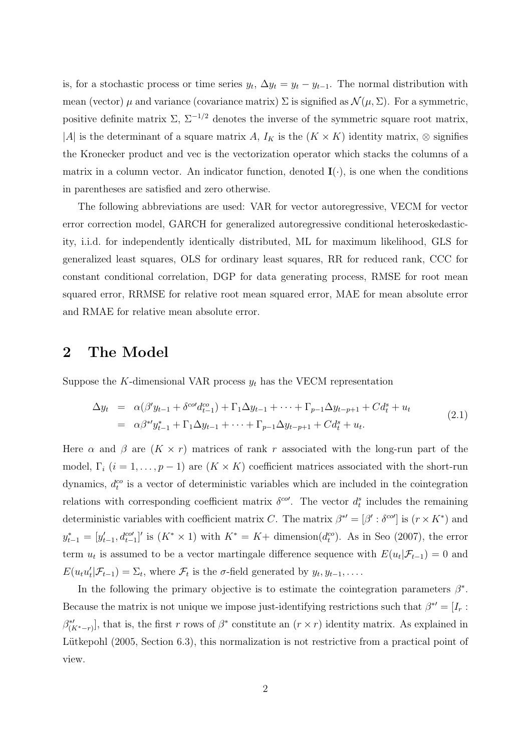is, for a stochastic process or time series  $y_t$ ,  $\Delta y_t = y_t - y_{t-1}$ . The normal distribution with mean (vector)  $\mu$  and variance (covariance matrix)  $\Sigma$  is signified as  $\mathcal{N}(\mu, \Sigma)$ . For a symmetric, positive definite matrix  $\Sigma$ ,  $\Sigma^{-1/2}$  denotes the inverse of the symmetric square root matrix, |A| is the determinant of a square matrix A,  $I_K$  is the  $(K \times K)$  identity matrix, ⊗ signifies the Kronecker product and vec is the vectorization operator which stacks the columns of a matrix in a column vector. An indicator function, denoted  $I(\cdot)$ , is one when the conditions in parentheses are satisfied and zero otherwise.

The following abbreviations are used: VAR for vector autoregressive, VECM for vector error correction model, GARCH for generalized autoregressive conditional heteroskedasticity, i.i.d. for independently identically distributed, ML for maximum likelihood, GLS for generalized least squares, OLS for ordinary least squares, RR for reduced rank, CCC for constant conditional correlation, DGP for data generating process, RMSE for root mean squared error, RRMSE for relative root mean squared error, MAE for mean absolute error and RMAE for relative mean absolute error.

### **2 The Model**

Suppose the K-dimensional VAR process  $y_t$  has the VECM representation

$$
\Delta y_t = \alpha(\beta' y_{t-1} + \delta^{co} d_{t-1}^{co}) + \Gamma_1 \Delta y_{t-1} + \dots + \Gamma_{p-1} \Delta y_{t-p+1} + C d_t^s + u_t
$$
  
=  $\alpha \beta^{*'} y_{t-1}^* + \Gamma_1 \Delta y_{t-1} + \dots + \Gamma_{p-1} \Delta y_{t-p+1} + C d_t^s + u_t.$  (2.1)

Here  $\alpha$  and  $\beta$  are  $(K \times r)$  matrices of rank r associated with the long-run part of the model,  $\Gamma_i$  ( $i = 1, ..., p - 1$ ) are  $(K \times K)$  coefficient matrices associated with the short-run dynamics,  $d_t^{co}$  is a vector of deterministic variables which are included in the cointegration relations with corresponding coefficient matrix  $\delta^{co}$ . The vector  $d_t^s$  includes the remaining deterministic variables with coefficient matrix C. The matrix  $\beta^{*'} = [\beta' : \delta^{co'}]$  is  $(r \times K^*)$  and  $y_{t-1}^* = [y'_{t-1}, d_{t-1}^{co'}]'$  is  $(K^* \times 1)$  with  $K^* = K +$  dimension $(d_t^{co})$ . As in Seo (2007), the error term  $u_t$  is assumed to be a vector martingale difference sequence with  $E(u_t|\mathcal{F}_{t-1}) = 0$  and  $E(u_t u'_t | \mathcal{F}_{t-1}) = \Sigma_t$ , where  $\mathcal{F}_t$  is the  $\sigma$ -field generated by  $y_t, y_{t-1}, \ldots$ .

In the following the primary objective is to estimate the cointegration parameters  $\beta^*$ . Because the matrix is not unique we impose just-identifying restrictions such that  $\beta^* = [I_r : S_r]$  $\beta^*_{(K^*-r)}$ , that is, the first r rows of  $\beta^*$  constitute an  $(r \times r)$  identity matrix. As explained in Lütkepohl (2005, Section 6.3), this normalization is not restrictive from a practical point of view.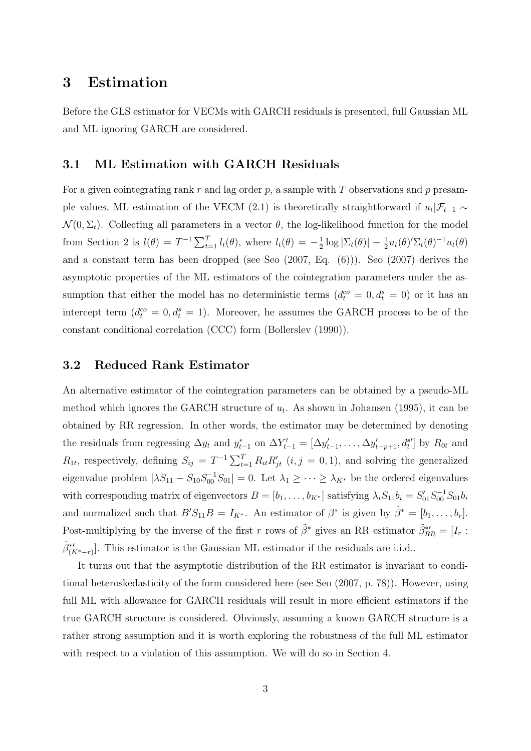### **3 Estimation**

Before the GLS estimator for VECMs with GARCH residuals is presented, full Gaussian ML and ML ignoring GARCH are considered.

#### **3.1 ML Estimation with GARCH Residuals**

For a given cointegrating rank r and lag order p, a sample with T observations and p presample values, ML estimation of the VECM (2.1) is theoretically straightforward if  $u_t|\mathcal{F}_{t-1} \sim$  $\mathcal{N}(0, \Sigma_t)$ . Collecting all parameters in a vector  $\theta$ , the log-likelihood function for the model from Section 2 is  $l(\theta) = T^{-1} \sum_{t=1}^{T} l_t(\theta)$ , where  $l_t(\theta) = -\frac{1}{2} \log |\Sigma_t(\theta)| - \frac{1}{2} u_t(\theta)' \Sigma_t(\theta)^{-1} u_t(\theta)$ and a constant term has been dropped (see Seo (2007, Eq. (6))). Seo (2007) derives the asymptotic properties of the ML estimators of the cointegration parameters under the assumption that either the model has no deterministic terms  $(d_t^{co} = 0, d_t^{s} = 0)$  or it has an intercept term  $(d_t^{co} = 0, d_t^{s} = 1)$ . Moreover, he assumes the GARCH process to be of the constant conditional correlation (CCC) form (Bollerslev (1990)).

#### **3.2 Reduced Rank Estimator**

An alternative estimator of the cointegration parameters can be obtained by a pseudo-ML method which ignores the GARCH structure of  $u_t$ . As shown in Johansen (1995), it can be obtained by RR regression. In other words, the estimator may be determined by denoting the residuals from regressing  $\Delta y_t$  and  $y_{t-1}^*$  on  $\Delta Y'_{t-1} = [\Delta y'_{t-1}, \ldots, \Delta y'_{t-p+1}, d_t^{s}]$  by  $R_{0t}$  and  $R_{1t}$ , respectively, defining  $S_{ij} = T^{-1} \sum_{t=1}^{T} R_{it} R'_{jt}$   $(i, j = 0, 1)$ , and solving the generalized eigenvalue problem  $|\lambda S_{11} - S_{10} S_{00}^{-1} S_{01}| = 0$ . Let  $\lambda_1 \geq \cdots \geq \lambda_{K^*}$  be the ordered eigenvalues with corresponding matrix of eigenvectors  $B = [b_1, \ldots, b_{K^*}]$  satisfying  $\lambda_i S_{11} b_i = S'_{01} S_{00}^{-1} S_{01} b_i$ and normalized such that  $B'S_{11}B = I_{K^*}$ . An estimator of  $\beta^*$  is given by  $\tilde{\beta}^* = [b_1, \ldots, b_r]$ . Post-multiplying by the inverse of the first r rows of  $\tilde{\beta}^*$  gives an RR estimator  $\tilde{\beta}_{RR}^{*\prime} = [I_r :$  $\tilde{\beta}^{*\prime}_{(K^*-r)}$ . This estimator is the Gaussian ML estimator if the residuals are i.i.d..

It turns out that the asymptotic distribution of the RR estimator is invariant to conditional heteroskedasticity of the form considered here (see Seo (2007, p. 78)). However, using full ML with allowance for GARCH residuals will result in more efficient estimators if the true GARCH structure is considered. Obviously, assuming a known GARCH structure is a rather strong assumption and it is worth exploring the robustness of the full ML estimator with respect to a violation of this assumption. We will do so in Section 4.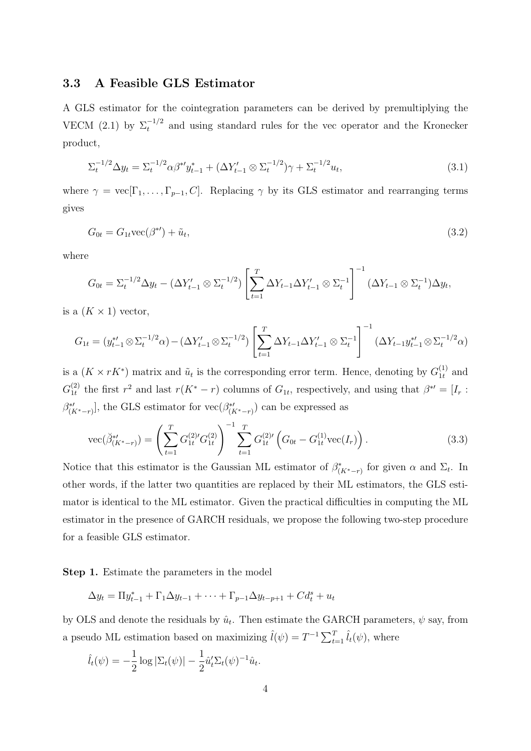#### **3.3 A Feasible GLS Estimator**

A GLS estimator for the cointegration parameters can be derived by premultiplying the VECM (2.1) by  $\Sigma_t^{-1/2}$  and using standard rules for the vec operator and the Kronecker product,

$$
\Sigma_t^{-1/2} \Delta y_t = \Sigma_t^{-1/2} \alpha \beta^* y_{t-1}^* + (\Delta Y_{t-1}' \otimes \Sigma_t^{-1/2}) \gamma + \Sigma_t^{-1/2} u_t,
$$
\n(3.1)

where  $\gamma = \text{vec}[\Gamma_1,\ldots,\Gamma_{p-1},C]$ . Replacing  $\gamma$  by its GLS estimator and rearranging terms gives

$$
G_{0t} = G_{1t} \text{vec}(\beta^*) + \tilde{u}_t,\tag{3.2}
$$

where

$$
G_{0t} = \Sigma_t^{-1/2} \Delta y_t - (\Delta Y'_{t-1} \otimes \Sigma_t^{-1/2}) \left[ \sum_{t=1}^T \Delta Y_{t-1} \Delta Y'_{t-1} \otimes \Sigma_t^{-1} \right]^{-1} (\Delta Y_{t-1} \otimes \Sigma_t^{-1}) \Delta y_t,
$$

is a  $(K \times 1)$  vector,

$$
G_{1t} = (y_{t-1}^{*}/\otimes \Sigma_t^{-1/2}\alpha) - (\Delta Y_{t-1}' \otimes \Sigma_t^{-1/2}) \left[ \sum_{t=1}^T \Delta Y_{t-1} \Delta Y_{t-1}' \otimes \Sigma_t^{-1} \right]^{-1} (\Delta Y_{t-1} y_{t-1}^{*}/\otimes \Sigma_t^{-1/2}\alpha)
$$

is a  $(K \times rK^*)$  matrix and  $\tilde{u}_t$  is the corresponding error term. Hence, denoting by  $G_{1t}^{(1)}$  and  $G_{1t}^{(2)}$  the first  $r^2$  and last  $r(K^* - r)$  columns of  $G_{1t}$ , respectively, and using that  $\beta^{*} = [I_r :$  $\beta^{\ast \prime}_{(K^{\ast}-r)}],$  the GLS estimator for  $\text{vec}(\beta^{\ast \prime}_{(K^{\ast}-r)})$  can be expressed as

$$
\text{vec}(\breve{\beta}_{(K^*-r)}^{*}) = \left(\sum_{t=1}^T G_{1t}^{(2)'} G_{1t}^{(2)}\right)^{-1} \sum_{t=1}^T G_{1t}^{(2)'} \left(G_{0t} - G_{1t}^{(1)} \text{vec}(I_r)\right). \tag{3.3}
$$

Notice that this estimator is the Gaussian ML estimator of  $\beta^*_{(K^*-r)}$  for given  $\alpha$  and  $\Sigma_t$ . In other words, if the latter two quantities are replaced by their ML estimators, the GLS estimator is identical to the ML estimator. Given the practical difficulties in computing the ML estimator in the presence of GARCH residuals, we propose the following two-step procedure for a feasible GLS estimator.

**Step 1.** Estimate the parameters in the model

$$
\Delta y_t = \Pi y_{t-1}^* + \Gamma_1 \Delta y_{t-1} + \dots + \Gamma_{p-1} \Delta y_{t-p+1} + C d_t^s + u_t
$$

by OLS and denote the residuals by  $\hat{u}_t$ . Then estimate the GARCH parameters,  $\psi$  say, from a pseudo ML estimation based on maximizing  $\hat{l}(\psi) = T^{-1} \sum_{t=1}^{T} \hat{l}_t(\psi)$ , where

$$
\hat{l}_t(\psi) = -\frac{1}{2}\log|\Sigma_t(\psi)| - \frac{1}{2}\hat{u}'_t\Sigma_t(\psi)^{-1}\hat{u}_t.
$$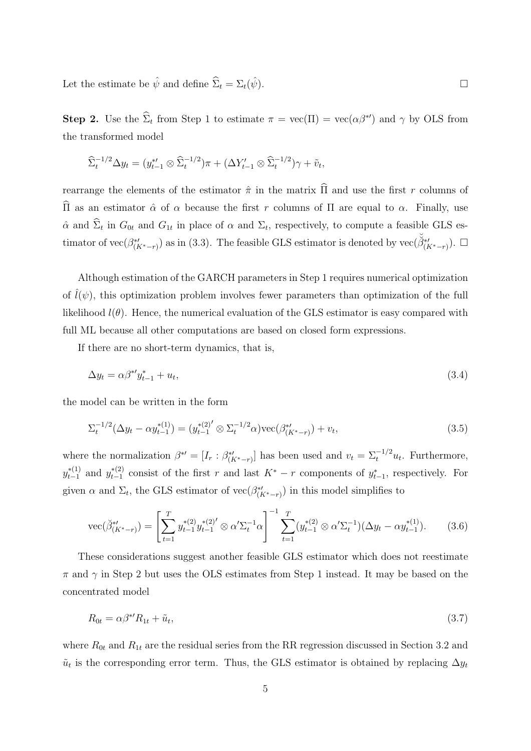Let the estimate be  $\hat{\psi}$  and define  $\hat{\Sigma}_t = \Sigma_t(\hat{\psi})$ .

**Step 2.** Use the  $\hat{\Sigma}_t$  from Step 1 to estimate  $\pi = \text{vec}(\Pi) = \text{vec}(\alpha \beta^{*})$  and  $\gamma$  by OLS from the transformed model

$$
\widehat{\Sigma}_t^{-1/2} \Delta y_t = (y_{t-1}^{*'} \otimes \widehat{\Sigma}_t^{-1/2}) \pi + (\Delta Y_{t-1}' \otimes \widehat{\Sigma}_t^{-1/2}) \gamma + \tilde{v}_t,
$$

rearrange the elements of the estimator  $\hat{\pi}$  in the matrix  $\hat{\Pi}$  and use the first r columns of  $\widehat{\Pi}$  as an estimator  $\hat{\alpha}$  of  $\alpha$  because the first r columns of  $\Pi$  are equal to  $\alpha$ . Finally, use  $\hat{\alpha}$  and  $\hat{\Sigma}_t$  in  $G_{0t}$  and  $G_{1t}$  in place of  $\alpha$  and  $\Sigma_t$ , respectively, to compute a feasible GLS estimator of vec $(\beta_{\alpha}^{*}t)$ <sup>\*'</sup><sup>'</sup>(K<sup>\*</sup>-r)</sub>) as in (3.3). The feasible GLS estimator is denoted by  $\text{vec}(\check{\beta}_{(K^*-r)}^{*})$ . □

Although estimation of the GARCH parameters in Step 1 requires numerical optimization of  $l(\psi)$ , this optimization problem involves fewer parameters than optimization of the full likelihood  $l(\theta)$ . Hence, the numerical evaluation of the GLS estimator is easy compared with full ML because all other computations are based on closed form expressions.

If there are no short-term dynamics, that is,

$$
\Delta y_t = \alpha \beta^* y_{t-1}^* + u_t,\tag{3.4}
$$

the model can be written in the form

$$
\Sigma_t^{-1/2}(\Delta y_t - \alpha y_{t-1}^{*(1)}) = (y_{t-1}^{*(2)'} \otimes \Sigma_t^{-1/2} \alpha) \text{vec}(\beta_{(K^*-r)}^{*(1)}) + v_t,
$$
\n(3.5)

where the normalization  $\beta^{*} = [I_r : \beta^{*}_{(K^*-r)}]$  has been used and  $v_t = \sum_t^{-1/2} u_t$ . Furthermore,  $y_{t-1}^{*(1)}$  and  $y_{t-1}^{*(2)}$  consist of the first r and last  $K^* - r$  components of  $y_{t-1}^*$ , respectively. For given  $\alpha$  and  $\Sigma_t$ , the GLS estimator of  $\text{vec}(\beta^*_{(K^*-r)})$  in this model simplifies to

$$
\text{vec}(\breve{\beta}_{(K^*-r)}^{*}) = \left[\sum_{t=1}^T y_{t-1}^{*(2)} y_{t-1}^{*(2)'} \otimes \alpha' \Sigma_t^{-1} \alpha\right]^{-1} \sum_{t=1}^T (y_{t-1}^{*(2)} \otimes \alpha' \Sigma_t^{-1}) (\Delta y_t - \alpha y_{t-1}^{*(1)}). \tag{3.6}
$$

These considerations suggest another feasible GLS estimator which does not reestimate  $\pi$  and  $\gamma$  in Step 2 but uses the OLS estimates from Step 1 instead. It may be based on the concentrated model

$$
R_{0t} = \alpha \beta^{*'} R_{1t} + \tilde{u}_t, \tag{3.7}
$$

where  $R_{0t}$  and  $R_{1t}$  are the residual series from the RR regression discussed in Section 3.2 and  $\tilde{u}_t$  is the corresponding error term. Thus, the GLS estimator is obtained by replacing  $\Delta y_t$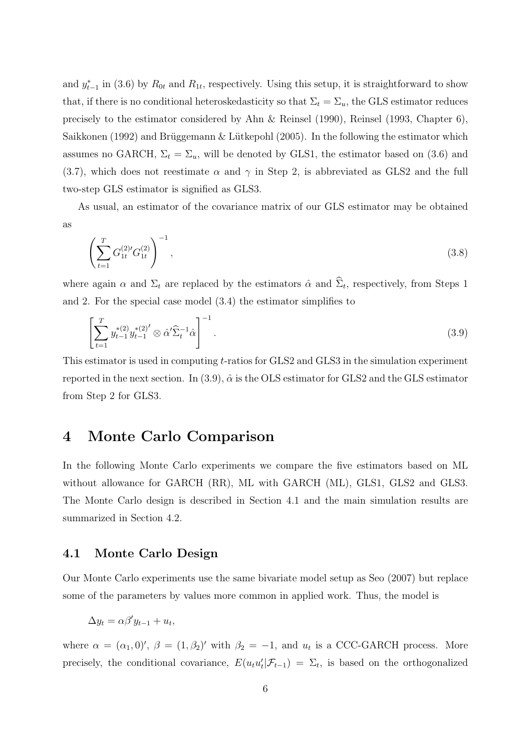and  $y_{t-1}^*$  in (3.6) by  $R_{0t}$  and  $R_{1t}$ , respectively. Using this setup, it is straightforward to show that, if there is no conditional heteroskedasticity so that  $\Sigma_t = \Sigma_u$ , the GLS estimator reduces precisely to the estimator considered by Ahn & Reinsel (1990), Reinsel (1993, Chapter 6), Saikkonen (1992) and Brüggemann & Lütkepohl (2005). In the following the estimator which assumes no GARCH,  $\Sigma_t = \Sigma_u$ , will be denoted by GLS1, the estimator based on (3.6) and (3.7), which does not reestimate  $\alpha$  and  $\gamma$  in Step 2, is abbreviated as GLS2 and the full two-step GLS estimator is signified as GLS3.

As usual, an estimator of the covariance matrix of our GLS estimator may be obtained as

$$
\left(\sum_{t=1}^{T} G_{1t}^{(2)'} G_{1t}^{(2)}\right)^{-1},\tag{3.8}
$$

where again  $\alpha$  and  $\Sigma_t$  are replaced by the estimators  $\hat{\alpha}$  and  $\hat{\Sigma}_t$ , respectively, from Steps 1 and 2. For the special case model (3.4) the estimator simplifies to

$$
\left[\sum_{t=1}^{T} y_{t-1}^{*(2)} y_{t-1}^{*(2)'} \otimes \hat{\alpha}' \hat{\Sigma}_t^{-1} \hat{\alpha}\right]^{-1}.
$$
\n(3.9)

This estimator is used in computing t-ratios for GLS2 and GLS3 in the simulation experiment reported in the next section. In (3.9),  $\hat{\alpha}$  is the OLS estimator for GLS2 and the GLS estimator from Step 2 for GLS3.

## **4 Monte Carlo Comparison**

In the following Monte Carlo experiments we compare the five estimators based on ML without allowance for GARCH (RR), ML with GARCH (ML), GLS1, GLS2 and GLS3. The Monte Carlo design is described in Section 4.1 and the main simulation results are summarized in Section 4.2.

#### **4.1 Monte Carlo Design**

Our Monte Carlo experiments use the same bivariate model setup as Seo (2007) but replace some of the parameters by values more common in applied work. Thus, the model is

$$
\Delta y_t = \alpha \beta' y_{t-1} + u_t,
$$

where  $\alpha = (\alpha_1, 0)'$ ,  $\beta = (1, \beta_2)'$  with  $\beta_2 = -1$ , and  $u_t$  is a CCC-GARCH process. More precisely, the conditional covariance,  $E(u_t u'_t | \mathcal{F}_{t-1}) = \Sigma_t$ , is based on the orthogonalized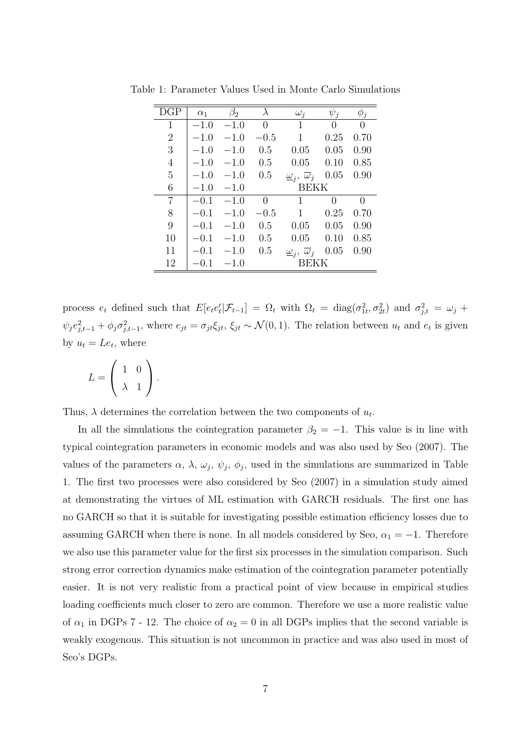| DGP            | $\alpha_1$ | $\beta_2$ | $\lambda$   | $\omega_i$                                     | $\psi_i$ | $\phi_j$ |  |  |  |
|----------------|------------|-----------|-------------|------------------------------------------------|----------|----------|--|--|--|
| $\mathbf{1}$   | $-1.0$     | $-1.0$    | $\Omega$    | 1                                              | 0        | 0        |  |  |  |
| $\overline{2}$ | $-1.0$     | $-1.0$    | $-0.5$      | 1                                              | 0.25     | 0.70     |  |  |  |
| 3              | $-1.0$     | $-1.0$    | 0.5         | 0.05                                           | 0.05     | 0.90     |  |  |  |
| $\overline{4}$ | $-1.0$     | $-1.0$    | 0.5         | 0.05                                           | 0.10     | 0.85     |  |  |  |
| $\overline{5}$ | $-1.0$     | $-1.0$    | 0.5         | $\underline{\omega}_i$ , $\overline{\omega}_j$ | 0.05     | 0.90     |  |  |  |
| 6              | $-1.0$     | $-1.0$    |             | <b>BEKK</b>                                    |          |          |  |  |  |
| 7              | $-0.1$     | $-1.0$    | $\Omega$    | 1                                              | 0        | $\theta$ |  |  |  |
| 8              | $-0.1$     | $-1.0$    | $-0.5$      | 1                                              | 0.25     | 0.70     |  |  |  |
| 9              | $-0.1$     | $-1.0$    | 0.5         | 0.05                                           | 0.05     | 0.90     |  |  |  |
| 10             | $-0.1$     | $-1.0$    | 0.5         | 0.05                                           | 0.10     | 0.85     |  |  |  |
| 11             | $-0.1$     | $-1.0$    | 0.5         | $\underline{\omega}_i$ , $\overline{\omega}_j$ | 0.05     | 0.90     |  |  |  |
| 12             | $-0.1$     | $-1.0$    | <b>BEKK</b> |                                                |          |          |  |  |  |

Table 1: Parameter Values Used in Monte Carlo Simulations

process  $e_t$  defined such that  $E[e_t e_t' | \mathcal{F}_{t-1}] = \Omega_t$  with  $\Omega_t = \text{diag}(\sigma_{1t}^2, \sigma_{2t}^2)$  and  $\sigma_{j,t}^2 = \omega_j +$  $\psi_j e_{j,t-1}^2 + \phi_j \sigma_{j,t-1}^2$ , where  $e_{jt} = \sigma_{jt} \xi_{jt}$ ,  $\xi_{jt} \sim \mathcal{N}(0, 1)$ . The relation between  $u_t$  and  $e_t$  is given by  $u_t = Le_t$ , where

$$
L = \left(\begin{array}{cc} 1 & 0 \\ \lambda & 1 \end{array}\right).
$$

Thus,  $\lambda$  determines the correlation between the two components of  $u_t$ .

In all the simulations the cointegration parameter  $\beta_2 = -1$ . This value is in line with typical cointegration parameters in economic models and was also used by Seo (2007). The values of the parameters  $\alpha$ ,  $\lambda$ ,  $\omega_j$ ,  $\psi_j$ ,  $\phi_j$ , used in the simulations are summarized in Table 1. The first two processes were also considered by Seo (2007) in a simulation study aimed at demonstrating the virtues of ML estimation with GARCH residuals. The first one has no GARCH so that it is suitable for investigating possible estimation efficiency losses due to assuming GARCH when there is none. In all models considered by Seo,  $\alpha_1 = -1$ . Therefore we also use this parameter value for the first six processes in the simulation comparison. Such strong error correction dynamics make estimation of the cointegration parameter potentially easier. It is not very realistic from a practical point of view because in empirical studies loading coefficients much closer to zero are common. Therefore we use a more realistic value of  $\alpha_1$  in DGPs 7 - 12. The choice of  $\alpha_2 = 0$  in all DGPs implies that the second variable is weakly exogenous. This situation is not uncommon in practice and was also used in most of Seo's DGPs.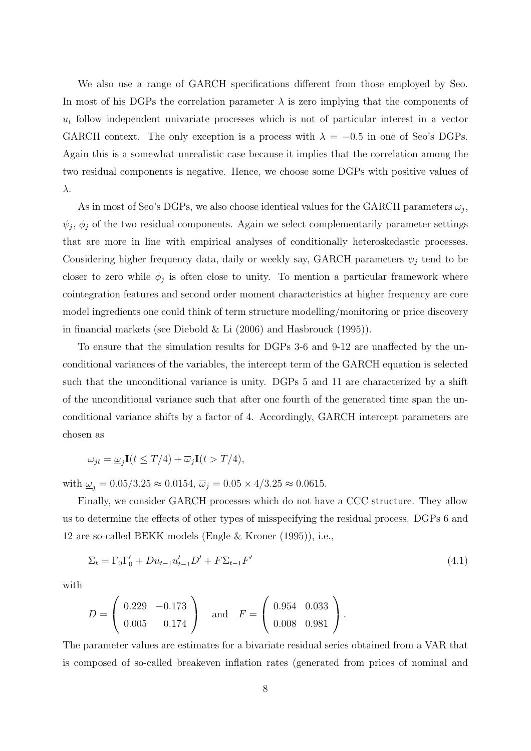We also use a range of GARCH specifications different from those employed by Seo. In most of his DGPs the correlation parameter  $\lambda$  is zero implying that the components of  $u_t$  follow independent univariate processes which is not of particular interest in a vector GARCH context. The only exception is a process with  $\lambda = -0.5$  in one of Seo's DGPs. Again this is a somewhat unrealistic case because it implies that the correlation among the two residual components is negative. Hence, we choose some DGPs with positive values of λ.

As in most of Seo's DGPs, we also choose identical values for the GARCH parameters  $\omega_j$ ,  $\psi_j$ ,  $\phi_j$  of the two residual components. Again we select complementarily parameter settings that are more in line with empirical analyses of conditionally heteroskedastic processes. Considering higher frequency data, daily or weekly say, GARCH parameters  $\psi_i$  tend to be closer to zero while  $\phi_j$  is often close to unity. To mention a particular framework where cointegration features and second order moment characteristics at higher frequency are core model ingredients one could think of term structure modelling/monitoring or price discovery in financial markets (see Diebold & Li (2006) and Hasbrouck (1995)).

To ensure that the simulation results for DGPs 3-6 and 9-12 are unaffected by the unconditional variances of the variables, the intercept term of the GARCH equation is selected such that the unconditional variance is unity. DGPs 5 and 11 are characterized by a shift of the unconditional variance such that after one fourth of the generated time span the unconditional variance shifts by a factor of 4. Accordingly, GARCH intercept parameters are chosen as

$$
\omega_{jt} = \underline{\omega}_j \mathbf{I}(t \le T/4) + \overline{\omega}_j \mathbf{I}(t > T/4),
$$

with  $\underline{\omega}_j = 0.05/3.25 \approx 0.0154$ ,  $\overline{\omega}_j = 0.05 \times 4/3.25 \approx 0.0615$ .

Finally, we consider GARCH processes which do not have a CCC structure. They allow us to determine the effects of other types of misspecifying the residual process. DGPs 6 and 12 are so-called BEKK models (Engle & Kroner (1995)), i.e.,

$$
\Sigma_t = \Gamma_0 \Gamma'_0 + D u_{t-1} u'_{t-1} D' + F \Sigma_{t-1} F'
$$
\n(4.1)

with

$$
D = \left(\begin{array}{cc} 0.229 & -0.173 \\ 0.005 & 0.174 \end{array}\right) \quad \text{and} \quad F = \left(\begin{array}{cc} 0.954 & 0.033 \\ 0.008 & 0.981 \end{array}\right).
$$

The parameter values are estimates for a bivariate residual series obtained from a VAR that is composed of so-called breakeven inflation rates (generated from prices of nominal and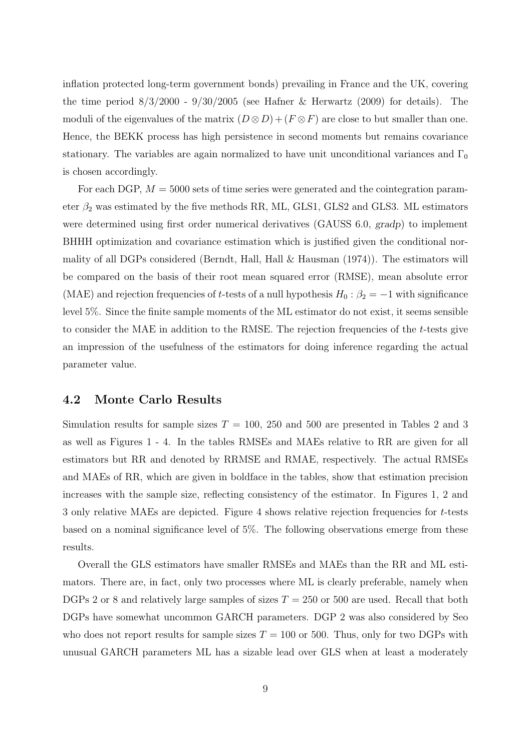inflation protected long-term government bonds) prevailing in France and the UK, covering the time period  $8/3/2000 - 9/30/2005$  (see Hafner & Herwartz (2009) for details). The moduli of the eigenvalues of the matrix  $(D \otimes D) + (F \otimes F)$  are close to but smaller than one. Hence, the BEKK process has high persistence in second moments but remains covariance stationary. The variables are again normalized to have unit unconditional variances and  $\Gamma_0$ is chosen accordingly.

For each DGP,  $M = 5000$  sets of time series were generated and the cointegration parameter  $\beta_2$  was estimated by the five methods RR, ML, GLS1, GLS2 and GLS3. ML estimators were determined using first order numerical derivatives (GAUSS 6.0, gradp) to implement BHHH optimization and covariance estimation which is justified given the conditional normality of all DGPs considered (Berndt, Hall, Hall & Hausman (1974)). The estimators will be compared on the basis of their root mean squared error (RMSE), mean absolute error (MAE) and rejection frequencies of t-tests of a null hypothesis  $H_0$  :  $\beta_2 = -1$  with significance level 5%. Since the finite sample moments of the ML estimator do not exist, it seems sensible to consider the MAE in addition to the RMSE. The rejection frequencies of the  $t$ -tests give an impression of the usefulness of the estimators for doing inference regarding the actual parameter value.

#### **4.2 Monte Carlo Results**

Simulation results for sample sizes  $T = 100$ , 250 and 500 are presented in Tables 2 and 3 as well as Figures 1 - 4. In the tables RMSEs and MAEs relative to RR are given for all estimators but RR and denoted by RRMSE and RMAE, respectively. The actual RMSEs and MAEs of RR, which are given in boldface in the tables, show that estimation precision increases with the sample size, reflecting consistency of the estimator. In Figures 1, 2 and 3 only relative MAEs are depicted. Figure 4 shows relative rejection frequencies for t-tests based on a nominal significance level of 5%. The following observations emerge from these results.

Overall the GLS estimators have smaller RMSEs and MAEs than the RR and ML estimators. There are, in fact, only two processes where ML is clearly preferable, namely when DGPs 2 or 8 and relatively large samples of sizes  $T = 250$  or 500 are used. Recall that both DGPs have somewhat uncommon GARCH parameters. DGP 2 was also considered by Seo who does not report results for sample sizes  $T = 100$  or 500. Thus, only for two DGPs with unusual GARCH parameters ML has a sizable lead over GLS when at least a moderately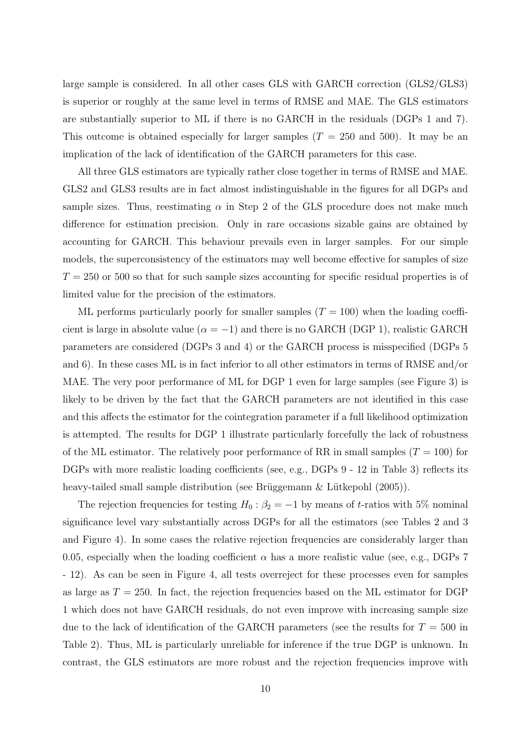large sample is considered. In all other cases GLS with GARCH correction (GLS2/GLS3) is superior or roughly at the same level in terms of RMSE and MAE. The GLS estimators are substantially superior to ML if there is no GARCH in the residuals (DGPs 1 and 7). This outcome is obtained especially for larger samples  $(T = 250$  and 500). It may be an implication of the lack of identification of the GARCH parameters for this case.

All three GLS estimators are typically rather close together in terms of RMSE and MAE. GLS2 and GLS3 results are in fact almost indistinguishable in the figures for all DGPs and sample sizes. Thus, reestimating  $\alpha$  in Step 2 of the GLS procedure does not make much difference for estimation precision. Only in rare occasions sizable gains are obtained by accounting for GARCH. This behaviour prevails even in larger samples. For our simple models, the superconsistency of the estimators may well become effective for samples of size  $T = 250$  or 500 so that for such sample sizes accounting for specific residual properties is of limited value for the precision of the estimators.

ML performs particularly poorly for smaller samples  $(T = 100)$  when the loading coefficient is large in absolute value ( $\alpha = -1$ ) and there is no GARCH (DGP 1), realistic GARCH parameters are considered (DGPs 3 and 4) or the GARCH process is misspecified (DGPs 5 and 6). In these cases ML is in fact inferior to all other estimators in terms of RMSE and/or MAE. The very poor performance of ML for DGP 1 even for large samples (see Figure 3) is likely to be driven by the fact that the GARCH parameters are not identified in this case and this affects the estimator for the cointegration parameter if a full likelihood optimization is attempted. The results for DGP 1 illustrate particularly forcefully the lack of robustness of the ML estimator. The relatively poor performance of RR in small samples  $(T = 100)$  for DGPs with more realistic loading coefficients (see, e.g., DGPs 9 - 12 in Table 3) reflects its heavy-tailed small sample distribution (see Brüggemann & Lütkepohl (2005)).

The rejection frequencies for testing  $H_0: \beta_2 = -1$  by means of t-ratios with 5% nominal significance level vary substantially across DGPs for all the estimators (see Tables 2 and 3 and Figure 4). In some cases the relative rejection frequencies are considerably larger than 0.05, especially when the loading coefficient  $\alpha$  has a more realistic value (see, e.g., DGPs 7 - 12). As can be seen in Figure 4, all tests overreject for these processes even for samples as large as  $T = 250$ . In fact, the rejection frequencies based on the ML estimator for DGP 1 which does not have GARCH residuals, do not even improve with increasing sample size due to the lack of identification of the GARCH parameters (see the results for  $T = 500$  in Table 2). Thus, ML is particularly unreliable for inference if the true DGP is unknown. In contrast, the GLS estimators are more robust and the rejection frequencies improve with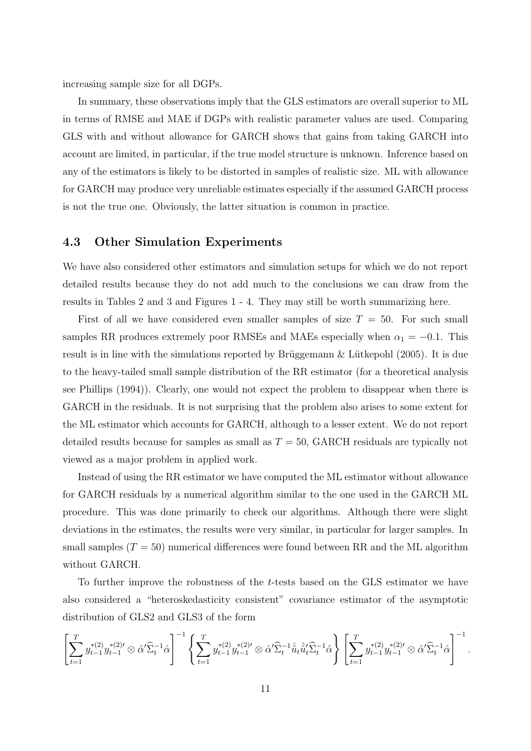increasing sample size for all DGPs.

In summary, these observations imply that the GLS estimators are overall superior to ML in terms of RMSE and MAE if DGPs with realistic parameter values are used. Comparing GLS with and without allowance for GARCH shows that gains from taking GARCH into account are limited, in particular, if the true model structure is unknown. Inference based on any of the estimators is likely to be distorted in samples of realistic size. ML with allowance for GARCH may produce very unreliable estimates especially if the assumed GARCH process is not the true one. Obviously, the latter situation is common in practice.

#### **4.3 Other Simulation Experiments**

We have also considered other estimators and simulation setups for which we do not report detailed results because they do not add much to the conclusions we can draw from the results in Tables 2 and 3 and Figures 1 - 4. They may still be worth summarizing here.

First of all we have considered even smaller samples of size  $T = 50$ . For such small samples RR produces extremely poor RMSEs and MAEs especially when  $\alpha_1 = -0.1$ . This result is in line with the simulations reported by Brüggemann & Lütkepohl (2005). It is due to the heavy-tailed small sample distribution of the RR estimator (for a theoretical analysis see Phillips (1994)). Clearly, one would not expect the problem to disappear when there is GARCH in the residuals. It is not surprising that the problem also arises to some extent for the ML estimator which accounts for GARCH, although to a lesser extent. We do not report detailed results because for samples as small as  $T = 50$ , GARCH residuals are typically not viewed as a major problem in applied work.

Instead of using the RR estimator we have computed the ML estimator without allowance for GARCH residuals by a numerical algorithm similar to the one used in the GARCH ML procedure. This was done primarily to check our algorithms. Although there were slight deviations in the estimates, the results were very similar, in particular for larger samples. In small samples  $(T = 50)$  numerical differences were found between RR and the ML algorithm without GARCH.

To further improve the robustness of the t-tests based on the GLS estimator we have also considered a "heteroskedasticity consistent" covariance estimator of the asymptotic distribution of GLS2 and GLS3 of the form

$$
\left[\sum_{t=1}^T y_{t-1}^{*(2)} y_{t-1}^{*(2)\prime} \otimes \hat{\alpha}' \widehat{\Sigma}_t^{-1} \hat{\alpha}\right]^{-1} \left\{\sum_{t=1}^T y_{t-1}^{*(2)} y_{t-1}^{*(2)\prime} \otimes \hat{\alpha}' \widehat{\Sigma}_t^{-1} \hat{u}_t \hat{u}_t' \widehat{\Sigma}_t^{-1} \hat{\alpha}\right\} \left[\sum_{t=1}^T y_{t-1}^{*(2)} y_{t-1}^{*(2)\prime} \otimes \hat{\alpha}' \widehat{\Sigma}_t^{-1} \hat{\alpha}\right]^{-1}.
$$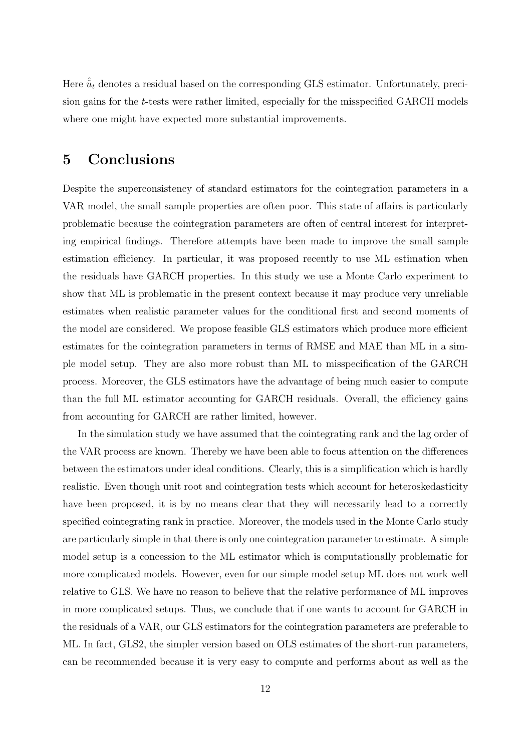Here  $\hat{u}_t$  denotes a residual based on the corresponding GLS estimator. Unfortunately, precision gains for the t-tests were rather limited, especially for the misspecified GARCH models where one might have expected more substantial improvements.

# **5 Conclusions**

Despite the superconsistency of standard estimators for the cointegration parameters in a VAR model, the small sample properties are often poor. This state of affairs is particularly problematic because the cointegration parameters are often of central interest for interpreting empirical findings. Therefore attempts have been made to improve the small sample estimation efficiency. In particular, it was proposed recently to use ML estimation when the residuals have GARCH properties. In this study we use a Monte Carlo experiment to show that ML is problematic in the present context because it may produce very unreliable estimates when realistic parameter values for the conditional first and second moments of the model are considered. We propose feasible GLS estimators which produce more efficient estimates for the cointegration parameters in terms of RMSE and MAE than ML in a simple model setup. They are also more robust than ML to misspecification of the GARCH process. Moreover, the GLS estimators have the advantage of being much easier to compute than the full ML estimator accounting for GARCH residuals. Overall, the efficiency gains from accounting for GARCH are rather limited, however.

In the simulation study we have assumed that the cointegrating rank and the lag order of the VAR process are known. Thereby we have been able to focus attention on the differences between the estimators under ideal conditions. Clearly, this is a simplification which is hardly realistic. Even though unit root and cointegration tests which account for heteroskedasticity have been proposed, it is by no means clear that they will necessarily lead to a correctly specified cointegrating rank in practice. Moreover, the models used in the Monte Carlo study are particularly simple in that there is only one cointegration parameter to estimate. A simple model setup is a concession to the ML estimator which is computationally problematic for more complicated models. However, even for our simple model setup ML does not work well relative to GLS. We have no reason to believe that the relative performance of ML improves in more complicated setups. Thus, we conclude that if one wants to account for GARCH in the residuals of a VAR, our GLS estimators for the cointegration parameters are preferable to ML. In fact, GLS2, the simpler version based on OLS estimates of the short-run parameters, can be recommended because it is very easy to compute and performs about as well as the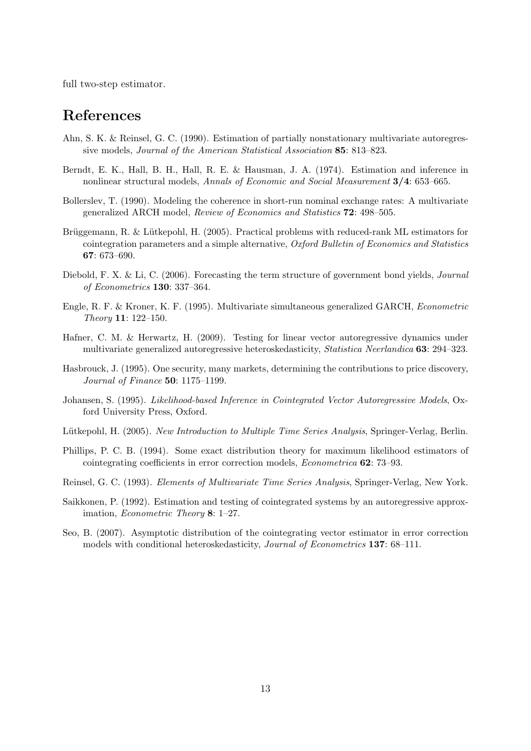full two-step estimator.

# **References**

- Ahn, S. K. & Reinsel, G. C. (1990). Estimation of partially nonstationary multivariate autoregressive models, Journal of the American Statistical Association **85**: 813–823.
- Berndt, E. K., Hall, B. H., Hall, R. E. & Hausman, J. A. (1974). Estimation and inference in nonlinear structural models, Annals of Economic and Social Measurement **3/4**: 653–665.
- Bollerslev, T. (1990). Modeling the coherence in short-run nominal exchange rates: A multivariate generalized ARCH model, Review of Economics and Statistics **72**: 498–505.
- Brüggemann, R. & Lütkepohl, H. (2005). Practical problems with reduced-rank ML estimators for cointegration parameters and a simple alternative, Oxford Bulletin of Economics and Statistics **67**: 673–690.
- Diebold, F. X. & Li, C. (2006). Forecasting the term structure of government bond yields, Journal of Econometrics **130**: 337–364.
- Engle, R. F. & Kroner, K. F. (1995). Multivariate simultaneous generalized GARCH, Econometric Theory **11**: 122–150.
- Hafner, C. M. & Herwartz, H. (2009). Testing for linear vector autoregressive dynamics under multivariate generalized autoregressive heteroskedasticity, Statistica Neerlandica **63**: 294–323.
- Hasbrouck, J. (1995). One security, many markets, determining the contributions to price discovery, Journal of Finance **50**: 1175–1199.
- Johansen, S. (1995). Likelihood-based Inference in Cointegrated Vector Autoregressive Models, Oxford University Press, Oxford.
- Lütkepohl, H. (2005). New Introduction to Multiple Time Series Analysis, Springer-Verlag, Berlin.
- Phillips, P. C. B. (1994). Some exact distribution theory for maximum likelihood estimators of cointegrating coefficients in error correction models, Econometrica **62**: 73–93.
- Reinsel, G. C. (1993). Elements of Multivariate Time Series Analysis, Springer-Verlag, New York.
- Saikkonen, P. (1992). Estimation and testing of cointegrated systems by an autoregressive approximation, Econometric Theory **8**: 1–27.
- Seo, B. (2007). Asymptotic distribution of the cointegrating vector estimator in error correction models with conditional heteroskedasticity, Journal of Econometrics **137**: 68–111.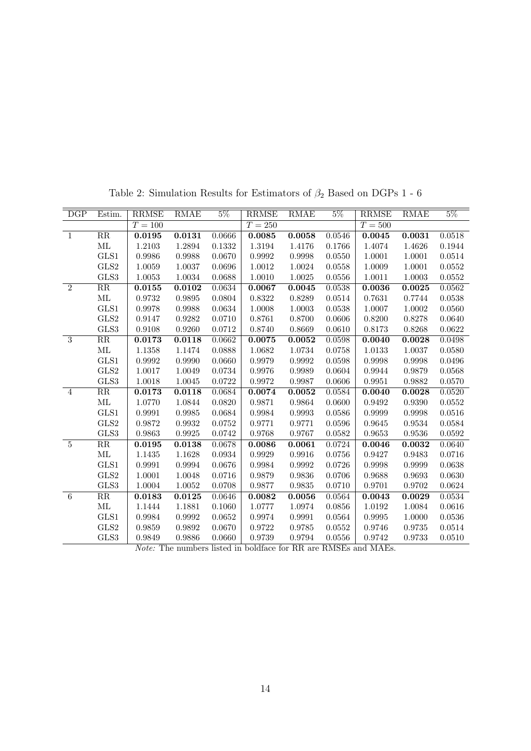| 0.0518<br>0.1944<br>0.0514<br>0.0552<br>0.0552<br>0.0562<br>0.0538 |
|--------------------------------------------------------------------|
|                                                                    |
|                                                                    |
|                                                                    |
|                                                                    |
|                                                                    |
|                                                                    |
|                                                                    |
|                                                                    |
| 0.0560                                                             |
| 0.0640                                                             |
| 0.0622                                                             |
| 0.0498                                                             |
| 0.0580                                                             |
| 0.0496                                                             |
| 0.0568                                                             |
| 0.0570                                                             |
| 0.0520                                                             |
| 0.0552                                                             |
| 0.0516                                                             |
| 0.0584                                                             |
| 0.0592                                                             |
| 0.0640                                                             |
| 0.0716                                                             |
| 0.0638                                                             |
| 0.0630                                                             |
| 0.0624                                                             |
| 0.0534                                                             |
| 0.0616                                                             |
| 0.0536                                                             |
| 0.0514                                                             |
| 0.0510                                                             |
|                                                                    |

Table 2: Simulation Results for Estimators of  $\beta_2$  Based on DGPs  $1$  -  $6$ 

Note: The numbers listed in boldface for RR are RMSEs and MAEs.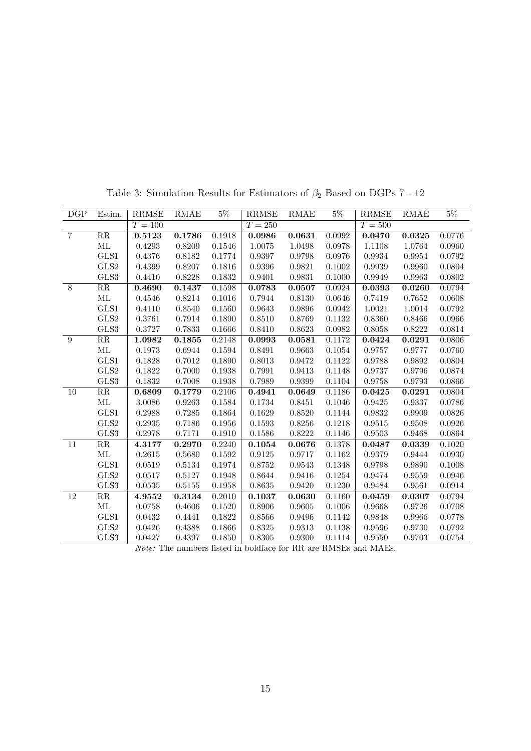| DGP             | Estim.                 | <b>RRMSE</b>                            | RMAE   | $5\%$                         | <b>RRMSE</b>                            | <b>RMAE</b>                             | $5\%$                    | <b>RRMSE</b>                                                                         | RMAE   | $5\%$  |
|-----------------|------------------------|-----------------------------------------|--------|-------------------------------|-----------------------------------------|-----------------------------------------|--------------------------|--------------------------------------------------------------------------------------|--------|--------|
|                 |                        | $T=100\,$                               |        |                               | $T = 250$                               |                                         |                          | $T=500$                                                                              |        |        |
| $\overline{7}$  | RR                     | 0.5123                                  | 0.1786 | 0.1918                        | 0.0986                                  | 0.0631                                  | 0.0992                   | 0.0470                                                                               | 0.0325 | 0.0776 |
|                 | ML                     | 0.4293                                  | 0.8209 | 0.1546                        | 1.0075                                  | 1.0498                                  | 0.0978                   | 1.1108                                                                               | 1.0764 | 0.0960 |
|                 | GLS1                   | 0.4376                                  | 0.8182 | 0.1774                        | 0.9397                                  | 0.9798                                  | 0.0976                   | 0.9934                                                                               | 0.9954 | 0.0792 |
|                 | GLS2                   | 0.4399                                  | 0.8207 | 0.1816                        | 0.9396                                  | 0.9821                                  | 0.1002                   | 0.9939                                                                               | 0.9960 | 0.0804 |
|                 | GLS3                   | 0.4410                                  | 0.8228 | 0.1832                        | 0.9401                                  | 0.9831                                  | 0.1000                   | 0.9949                                                                               | 0.9963 | 0.0802 |
| 8               | $\rm RR$               | 0.4690                                  | 0.1437 | 0.1598                        | 0.0783                                  | 0.0507                                  | 0.0924                   | 0.0393                                                                               | 0.0260 | 0.0794 |
|                 | $\rm ML$               | 0.4546                                  | 0.8214 | 0.1016                        | 0.7944                                  | 0.8130                                  | 0.0646                   | 0.7419                                                                               | 0.7652 | 0.0608 |
|                 | GLS1                   | 0.4110                                  | 0.8540 | 0.1560                        | 0.9643                                  | 0.9896                                  | 0.0942                   | 1.0021                                                                               | 1.0014 | 0.0792 |
|                 | GLS2                   | 0.3761                                  | 0.7914 | 0.1890                        | 0.8510                                  | 0.8769                                  | 0.1132                   | 0.8360                                                                               | 0.8466 | 0.0966 |
|                 | GLS3                   | 0.3727                                  | 0.7833 | 0.1666                        | 0.8410                                  | 0.8623                                  | 0.0982                   | 0.8058                                                                               | 0.8222 | 0.0814 |
| 9               | $\overline{\text{RR}}$ | 1.0982                                  | 0.1855 | 0.2148                        | 0.0993                                  | 0.0581                                  | 0.1172                   | 0.0424                                                                               | 0.0291 | 0.0806 |
|                 | ML                     | 0.1973                                  | 0.6944 | 0.1594                        | 0.8491                                  | 0.9663                                  | 0.1054                   | 0.9757                                                                               | 0.9777 | 0.0760 |
|                 | GLS1                   | 0.1828                                  | 0.7012 | 0.1890                        | 0.8013                                  | 0.9472                                  | 0.1122                   | 0.9788                                                                               | 0.9892 | 0.0804 |
|                 | GLS2                   | 0.1822                                  | 0.7000 | 0.1938                        | 0.7991                                  | 0.9413                                  | 0.1148                   | 0.9737                                                                               | 0.9796 | 0.0874 |
|                 | GLS3                   | 0.1832                                  | 0.7008 | 0.1938                        | 0.7989                                  | 0.9399                                  | 0.1104                   | 0.9758                                                                               | 0.9793 | 0.0866 |
| 10              | $\overline{\text{RR}}$ | 0.6809                                  | 0.1779 | $\overline{0.2}106$           | 0.4941                                  | 0.0649                                  | 0.1186                   | 0.0425                                                                               | 0.0291 | 0.0804 |
|                 | ML                     | 3.0086                                  | 0.9263 | 0.1584                        | 0.1734                                  | 0.8451                                  | 0.1046                   | 0.9425                                                                               | 0.9337 | 0.0786 |
|                 | GLS1                   | 0.2988                                  | 0.7285 | 0.1864                        | 0.1629                                  | 0.8520                                  | 0.1144                   | 0.9832                                                                               | 0.9909 | 0.0826 |
|                 | GLS2                   | 0.2935                                  | 0.7186 | 0.1956                        | 0.1593                                  | 0.8256                                  | 0.1218                   | 0.9515                                                                               | 0.9508 | 0.0926 |
|                 | GLS3                   | 0.2978                                  | 0.7171 | 0.1910                        | 0.1586                                  | 0.8222                                  | 0.1146                   | 0.9503                                                                               | 0.9468 | 0.0864 |
| $\overline{11}$ | $\overline{\text{RR}}$ | 4.3177                                  | 0.2970 | 0.2240                        | 0.1054                                  | 0.0676                                  | 0.1378                   | 0.0487                                                                               | 0.0339 | 0.1020 |
|                 | ML                     | 0.2615                                  | 0.5680 | 0.1592                        | 0.9125                                  | 0.9717                                  | 0.1162                   | 0.9379                                                                               | 0.9444 | 0.0930 |
|                 | GLS1                   | 0.0519                                  | 0.5134 | 0.1974                        | 0.8752                                  | 0.9543                                  | 0.1348                   | 0.9798                                                                               | 0.9890 | 0.1008 |
|                 | GLS2                   | 0.0517                                  | 0.5127 | 0.1948                        | 0.8644                                  | 0.9416                                  | 0.1254                   | 0.9474                                                                               | 0.9559 | 0.0946 |
|                 | GLS3                   | 0.0535                                  | 0.5155 | 0.1958                        | 0.8635                                  | 0.9420                                  | 0.1230                   | 0.9484                                                                               | 0.9561 | 0.0914 |
| $\overline{12}$ | $\overline{\text{RR}}$ | 4.9552                                  | 0.3134 | 0.2010                        | 0.1037                                  | 0.0630                                  | 0.1160                   | 0.0459                                                                               | 0.0307 | 0.0794 |
|                 | ML                     | 0.0758                                  | 0.4606 | 0.1520                        | 0.8906                                  | 0.9605                                  | 0.1006                   | 0.9668                                                                               | 0.9726 | 0.0708 |
|                 | GLS1                   | 0.0432                                  | 0.4441 | 0.1822                        | $0.8566\,$                              | 0.9496                                  | 0.1142                   | 0.9848                                                                               | 0.9966 | 0.0778 |
|                 | GLS2                   | 0.0426                                  | 0.4388 | 0.1866                        | 0.8325                                  | 0.9313                                  | 0.1138                   | 0.9596                                                                               | 0.9730 | 0.0792 |
|                 | GLS3                   | 0.0427<br>$\overline{M}$ $\overline{M}$ | 0.4397 | 0.1850<br>$\overline{\cdots}$ | 0.8305<br>$\overline{1}$ $\overline{1}$ | 0.9300<br>$\overline{c}$ $\overline{b}$ | 0.1114<br>$\overline{D}$ | 0.9550<br>$\overline{1}$ $\overline{1}$ $\overline{1}$ $\overline{1}$ $\overline{1}$ | 0.9703 | 0.0754 |

Table 3: Simulation Results for Estimators of  $\beta_2$  Based on DGPs  $7$  -  $12$ 

Note: The numbers listed in boldface for RR are RMSEs and MAEs.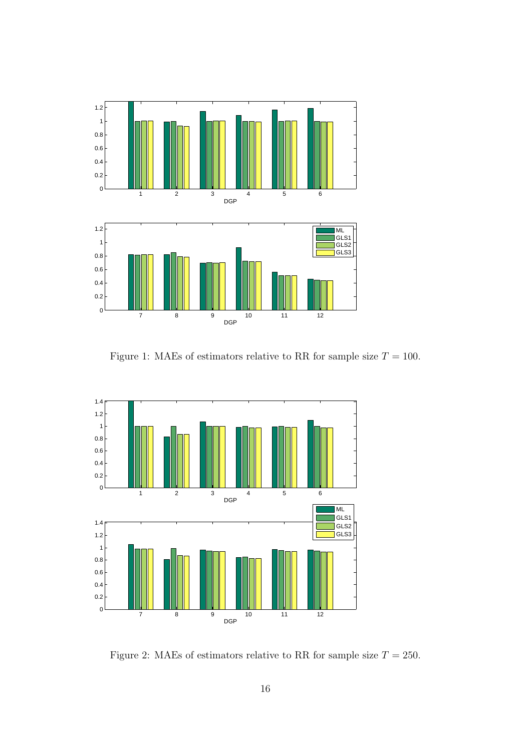

Figure 1: MAEs of estimators relative to RR for sample size  $T = 100$ .



Figure 2: MAEs of estimators relative to RR for sample size  $T = 250$ .